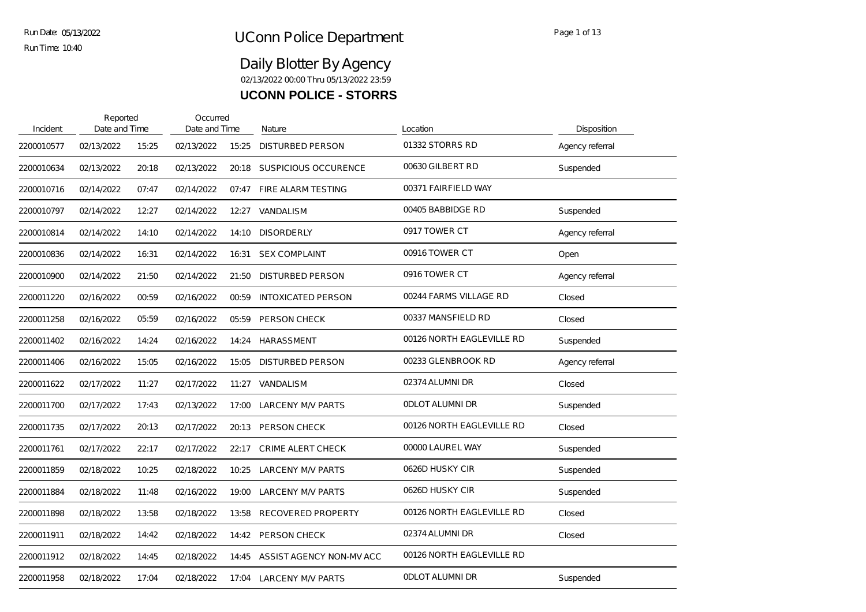| Incident   | Reported<br>Date and Time |       | Occurred<br>Date and Time |       | Nature                    | Location                  | Disposition     |
|------------|---------------------------|-------|---------------------------|-------|---------------------------|---------------------------|-----------------|
| 2200010577 | 02/13/2022                | 15:25 | 02/13/2022                | 15:25 | <b>DISTURBED PERSON</b>   | 01332 STORRS RD           | Agency referral |
| 2200010634 | 02/13/2022                | 20:18 | 02/13/2022                | 20:18 | SUSPICIOUS OCCURENCE      | 00630 GILBERT RD          | Suspended       |
| 2200010716 | 02/14/2022                | 07:47 | 02/14/2022                | 07:47 | FIRE ALARM TESTING        | 00371 FAIRFIELD WAY       |                 |
| 2200010797 | 02/14/2022                | 12:27 | 02/14/2022                | 12:27 | VANDALISM                 | 00405 BABBIDGE RD         | Suspended       |
| 2200010814 | 02/14/2022                | 14:10 | 02/14/2022                | 14:10 | <b>DISORDERLY</b>         | 0917 TOWER CT             | Agency referral |
| 2200010836 | 02/14/2022                | 16:31 | 02/14/2022                | 16:31 | <b>SEX COMPLAINT</b>      | 00916 TOWER CT            | Open            |
| 2200010900 | 02/14/2022                | 21:50 | 02/14/2022                | 21:50 | <b>DISTURBED PERSON</b>   | 0916 TOWER CT             | Agency referral |
| 2200011220 | 02/16/2022                | 00:59 | 02/16/2022                | 00:59 | <b>INTOXICATED PERSON</b> | 00244 FARMS VILLAGE RD    | Closed          |
| 2200011258 | 02/16/2022                | 05:59 | 02/16/2022                | 05.59 | PERSON CHECK              | 00337 MANSFIELD RD        | Closed          |
| 2200011402 | 02/16/2022                | 14:24 | 02/16/2022                | 14:24 | HARASSMENT                | 00126 NORTH EAGLEVILLE RD | Suspended       |
| 2200011406 | 02/16/2022                | 15:05 | 02/16/2022                | 15:05 | <b>DISTURBED PERSON</b>   | 00233 GLENBROOK RD        | Agency referral |
| 2200011622 | 02/17/2022                | 11:27 | 02/17/2022                | 11:27 | VANDALISM                 | 02374 ALUMNI DR           | Closed          |
| 2200011700 | 02/17/2022                | 17:43 | 02/13/2022                | 17:00 | LARCENY M/V PARTS         | <b>ODLOT ALUMNI DR</b>    | Suspended       |
| 2200011735 | 02/17/2022                | 20:13 | 02/17/2022                | 20:13 | <b>PERSON CHECK</b>       | 00126 NORTH EAGLEVILLE RD | Closed          |
| 2200011761 | 02/17/2022                | 22:17 | 02/17/2022                | 22:17 | <b>CRIME ALERT CHECK</b>  | 00000 LAUREL WAY          | Suspended       |
| 2200011859 | 02/18/2022                | 10:25 | 02/18/2022                | 10:25 | <b>LARCENY M/V PARTS</b>  | 0626D HUSKY CIR           | Suspended       |
| 2200011884 | 02/18/2022                | 11:48 | 02/16/2022                | 19:00 | LARCENY M/V PARTS         | 0626D HUSKY CIR           | Suspended       |
| 2200011898 | 02/18/2022                | 13:58 | 02/18/2022                | 13:58 | <b>RECOVERED PROPERTY</b> | 00126 NORTH EAGLEVILLE RD | Closed          |
| 2200011911 | 02/18/2022                | 14:42 | 02/18/2022                | 14:42 | PERSON CHECK              | 02374 ALUMNI DR           | Closed          |
| 2200011912 | 02/18/2022                | 14:45 | 02/18/2022                | 14:45 | ASSIST AGENCY NON-MV ACC  | 00126 NORTH EAGLEVILLE RD |                 |
| 2200011958 | 02/18/2022                | 17:04 | 02/18/2022                |       | 17:04 LARCENY M/V PARTS   | <b>ODLOT ALUMNI DR</b>    | Suspended       |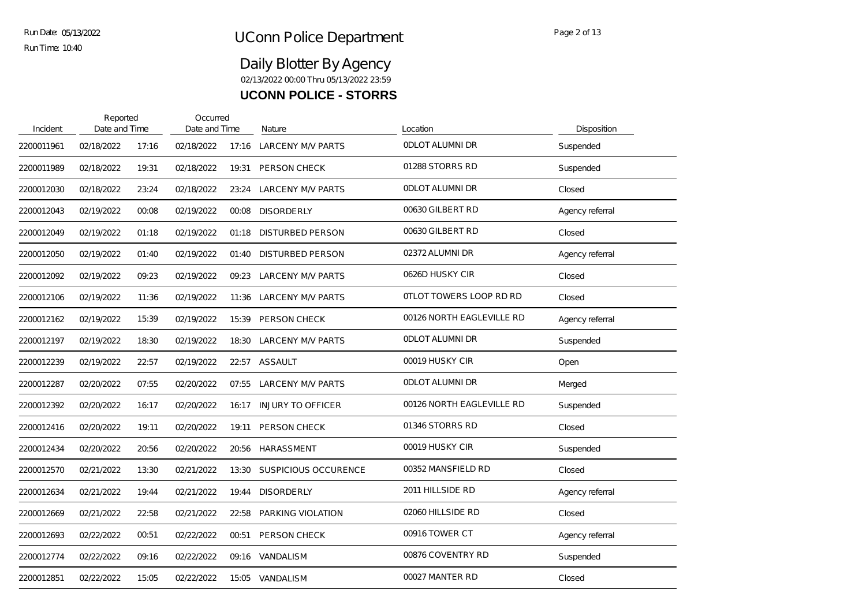| Incident   | Reported<br>Date and Time |       | Occurred<br>Date and Time |       | Nature                      | Location                       | Disposition     |
|------------|---------------------------|-------|---------------------------|-------|-----------------------------|--------------------------------|-----------------|
| 2200011961 | 02/18/2022                | 17:16 | 02/18/2022                | 17:16 | <b>LARCENY M/V PARTS</b>    | <b>ODLOT ALUMNI DR</b>         | Suspended       |
| 2200011989 | 02/18/2022                | 19:31 | 02/18/2022                | 19:31 | PERSON CHECK                | 01288 STORRS RD                | Suspended       |
| 2200012030 | 02/18/2022                | 23:24 | 02/18/2022                | 23:24 | <b>LARCENY M/V PARTS</b>    | <b>ODLOT ALUMNI DR</b>         | Closed          |
| 2200012043 | 02/19/2022                | 00:08 | 02/19/2022                | 00:08 | <b>DISORDERLY</b>           | 00630 GILBERT RD               | Agency referral |
| 2200012049 | 02/19/2022                | 01:18 | 02/19/2022                | 01:18 | <b>DISTURBED PERSON</b>     | 00630 GILBERT RD               | Closed          |
| 2200012050 | 02/19/2022                | 01:40 | 02/19/2022                | 01:40 | <b>DISTURBED PERSON</b>     | 02372 ALUMNI DR                | Agency referral |
| 2200012092 | 02/19/2022                | 09:23 | 02/19/2022                | 09:23 | LARCENY M/V PARTS           | 0626D HUSKY CIR                | Closed          |
| 2200012106 | 02/19/2022                | 11:36 | 02/19/2022                | 11:36 | <b>LARCENY M/V PARTS</b>    | <b>OTLOT TOWERS LOOP RD RD</b> | Closed          |
| 2200012162 | 02/19/2022                | 15:39 | 02/19/2022                | 15:39 | PERSON CHECK                | 00126 NORTH EAGLEVILLE RD      | Agency referral |
| 2200012197 | 02/19/2022                | 18:30 | 02/19/2022                | 18:30 | LARCENY M/V PARTS           | <b>ODLOT ALUMNI DR</b>         | Suspended       |
| 2200012239 | 02/19/2022                | 22:57 | 02/19/2022                |       | 22:57 ASSAULT               | 00019 HUSKY CIR                | Open            |
| 2200012287 | 02/20/2022                | 07:55 | 02/20/2022                | 07:55 | <b>LARCENY M/V PARTS</b>    | <b>ODLOT ALUMNI DR</b>         | Merged          |
| 2200012392 | 02/20/2022                | 16:17 | 02/20/2022                | 16:17 | <b>INJURY TO OFFICER</b>    | 00126 NORTH EAGLEVILLE RD      | Suspended       |
| 2200012416 | 02/20/2022                | 19:11 | 02/20/2022                | 19:11 | PERSON CHECK                | 01346 STORRS RD                | Closed          |
| 2200012434 | 02/20/2022                | 20:56 | 02/20/2022                | 20:56 | HARASSMENT                  | 00019 HUSKY CIR                | Suspended       |
| 2200012570 | 02/21/2022                | 13:30 | 02/21/2022                | 13:30 | <b>SUSPICIOUS OCCURENCE</b> | 00352 MANSFIELD RD             | Closed          |
| 2200012634 | 02/21/2022                | 19:44 | 02/21/2022                | 19:44 | <b>DISORDERLY</b>           | 2011 HILLSIDE RD               | Agency referral |
| 2200012669 | 02/21/2022                | 22:58 | 02/21/2022                | 22:58 | PARKING VIOLATION           | 02060 HILLSIDE RD              | Closed          |
| 2200012693 | 02/22/2022                | 00:51 | 02/22/2022                | 00:51 | PERSON CHECK                | 00916 TOWER CT                 | Agency referral |
| 2200012774 | 02/22/2022                | 09:16 | 02/22/2022                | 09:16 | VANDALISM                   | 00876 COVENTRY RD              | Suspended       |
| 2200012851 | 02/22/2022                | 15:05 | 02/22/2022                |       | 15:05 VANDALISM             | 00027 MANTER RD                | Closed          |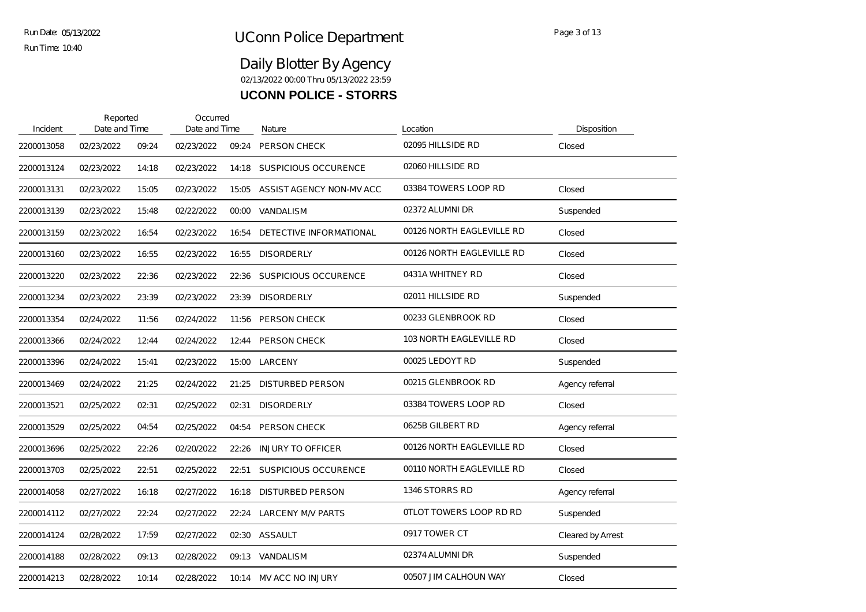| Incident   | Reported<br>Date and Time |       | Occurred<br>Date and Time |       | Nature                         | Location                  | <b>Disposition</b> |
|------------|---------------------------|-------|---------------------------|-------|--------------------------------|---------------------------|--------------------|
| 2200013058 | 02/23/2022                | 09:24 | 02/23/2022                | 09:24 | PERSON CHECK                   | 02095 HILLSIDE RD         | Closed             |
| 2200013124 | 02/23/2022                | 14:18 | 02/23/2022                | 14:18 | <b>SUSPICIOUS OCCURENCE</b>    | 02060 HILLSIDE RD         |                    |
| 2200013131 | 02/23/2022                | 15:05 | 02/23/2022                | 15:05 | ASSIST AGENCY NON-MV ACC       | 03384 TOWERS LOOP RD      | Closed             |
| 2200013139 | 02/23/2022                | 15:48 | 02/22/2022                | 00:00 | VANDALISM                      | 02372 ALUMNI DR           | Suspended          |
| 2200013159 | 02/23/2022                | 16:54 | 02/23/2022                | 16:54 | <b>DETECTIVE INFORMATIONAL</b> | 00126 NORTH EAGLEVILLE RD | Closed             |
| 2200013160 | 02/23/2022                | 16:55 | 02/23/2022                | 16:55 | <b>DISORDERLY</b>              | 00126 NORTH EAGLEVILLE RD | Closed             |
| 2200013220 | 02/23/2022                | 22:36 | 02/23/2022                | 22:36 | <b>SUSPICIOUS OCCURENCE</b>    | 0431A WHITNEY RD          | Closed             |
| 2200013234 | 02/23/2022                | 23:39 | 02/23/2022                | 23:39 | <b>DISORDERLY</b>              | 02011 HILLSIDE RD         | Suspended          |
| 2200013354 | 02/24/2022                | 11:56 | 02/24/2022                | 11:56 | PERSON CHECK                   | 00233 GLENBROOK RD        | Closed             |
| 2200013366 | 02/24/2022                | 12:44 | 02/24/2022                | 12:44 | PERSON CHECK                   | 103 NORTH EAGLEVILLE RD   | Closed             |
| 2200013396 | 02/24/2022                | 15:41 | 02/23/2022                | 15:00 | LARCENY                        | 00025 LEDOYT RD           | Suspended          |
| 2200013469 | 02/24/2022                | 21:25 | 02/24/2022                | 21:25 | <b>DISTURBED PERSON</b>        | 00215 GLENBROOK RD        | Agency referral    |
| 2200013521 | 02/25/2022                | 02:31 | 02/25/2022                | 02:31 | <b>DISORDERLY</b>              | 03384 TOWERS LOOP RD      | Closed             |
| 2200013529 | 02/25/2022                | 04:54 | 02/25/2022                | 04:54 | PERSON CHECK                   | 0625B GILBERT RD          | Agency referral    |
| 2200013696 | 02/25/2022                | 22:26 | 02/20/2022                | 22:26 | <b>INJURY TO OFFICER</b>       | 00126 NORTH EAGLEVILLE RD | Closed             |
| 2200013703 | 02/25/2022                | 22:51 | 02/25/2022                | 22:51 | <b>SUSPICIOUS OCCURENCE</b>    | 00110 NORTH EAGLEVILLE RD | Closed             |
| 2200014058 | 02/27/2022                | 16:18 | 02/27/2022                | 16:18 | <b>DISTURBED PERSON</b>        | 1346 STORRS RD            | Agency referral    |
| 2200014112 | 02/27/2022                | 22:24 | 02/27/2022                | 22:24 | <b>LARCENY M/V PARTS</b>       | 0TLOT TOWERS LOOP RD RD   | Suspended          |
| 2200014124 | 02/28/2022                | 17:59 | 02/27/2022                | 02:30 | ASSAULT                        | 0917 TOWER CT             | Cleared by Arrest  |
| 2200014188 | 02/28/2022                | 09:13 | 02/28/2022                | 09:13 | VANDALISM                      | 02374 ALUMNI DR           | Suspended          |
| 2200014213 | 02/28/2022                | 10:14 | 02/28/2022                | 10:14 | MV ACC NO INJURY               | 00507 JIM CALHOUN WAY     | Closed             |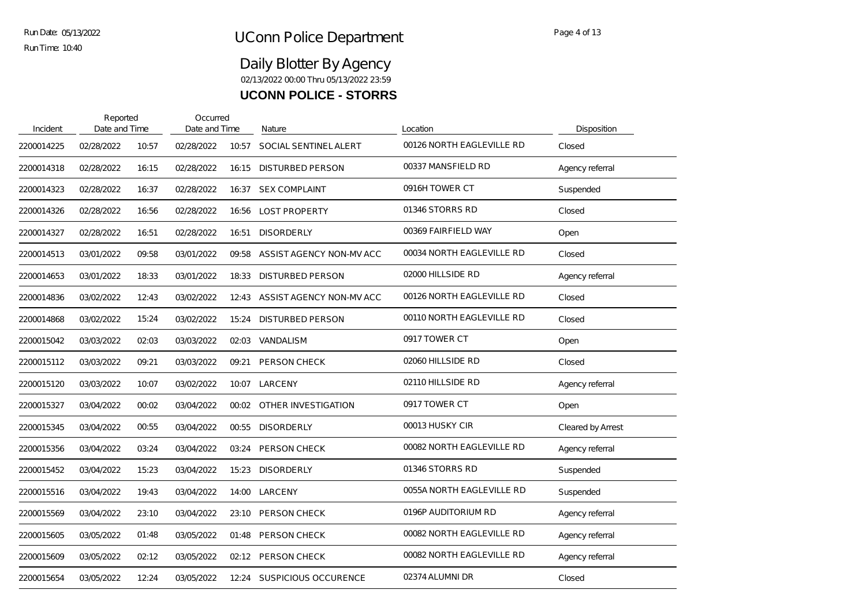# UConn Police Department Run Date: No Page 4 of 13

Run Time: 10:40

| Incident   | Reported<br>Date and Time |       | Occurred<br>Date and Time |       | Nature                     | Location                  | Disposition       |
|------------|---------------------------|-------|---------------------------|-------|----------------------------|---------------------------|-------------------|
| 2200014225 | 02/28/2022                | 10:57 | 02/28/2022                | 10:57 | SOCIAL SENTINEL ALERT      | 00126 NORTH EAGLEVILLE RD | Closed            |
| 2200014318 | 02/28/2022                | 16:15 | 02/28/2022                | 16:15 | <b>DISTURBED PERSON</b>    | 00337 MANSFIELD RD        | Agency referral   |
| 2200014323 | 02/28/2022                | 16:37 | 02/28/2022                | 16:37 | <b>SEX COMPLAINT</b>       | 0916H TOWER CT            | Suspended         |
| 2200014326 | 02/28/2022                | 16:56 | 02/28/2022                | 16:56 | <b>LOST PROPERTY</b>       | 01346 STORRS RD           | Closed            |
| 2200014327 | 02/28/2022                | 16:51 | 02/28/2022                | 16:51 | <b>DISORDERLY</b>          | 00369 FAIRFIELD WAY       | Open              |
| 2200014513 | 03/01/2022                | 09:58 | 03/01/2022                | 09:58 | ASSIST AGENCY NON-MV ACC   | 00034 NORTH EAGLEVILLE RD | Closed            |
| 2200014653 | 03/01/2022                | 18:33 | 03/01/2022                | 18:33 | <b>DISTURBED PERSON</b>    | 02000 HILLSIDE RD         | Agency referral   |
| 2200014836 | 03/02/2022                | 12:43 | 03/02/2022                | 12:43 | ASSIST AGENCY NON-MV ACC   | 00126 NORTH EAGLEVILLE RD | Closed            |
| 2200014868 | 03/02/2022                | 15:24 | 03/02/2022                | 15:24 | <b>DISTURBED PERSON</b>    | 00110 NORTH EAGLEVILLE RD | Closed            |
| 2200015042 | 03/03/2022                | 02:03 | 03/03/2022                | 02:03 | VANDALISM                  | 0917 TOWER CT             | Open              |
| 2200015112 | 03/03/2022                | 09:21 | 03/03/2022                | 09:21 | PERSON CHECK               | 02060 HILLSIDE RD         | Closed            |
| 2200015120 | 03/03/2022                | 10:07 | 03/02/2022                | 10:07 | LARCENY                    | 02110 HILLSIDE RD         | Agency referral   |
| 2200015327 | 03/04/2022                | 00:02 | 03/04/2022                | 00:02 | OTHER INVESTIGATION        | 0917 TOWER CT             | Open              |
| 2200015345 | 03/04/2022                | 00:55 | 03/04/2022                | 00:55 | <b>DISORDERLY</b>          | 00013 HUSKY CIR           | Cleared by Arrest |
| 2200015356 | 03/04/2022                | 03:24 | 03/04/2022                | 03:24 | PERSON CHECK               | 00082 NORTH EAGLEVILLE RD | Agency referral   |
| 2200015452 | 03/04/2022                | 15:23 | 03/04/2022                | 15:23 | <b>DISORDERLY</b>          | 01346 STORRS RD           | Suspended         |
| 2200015516 | 03/04/2022                | 19:43 | 03/04/2022                | 14:00 | LARCENY                    | 0055A NORTH EAGLEVILLE RD | Suspended         |
| 2200015569 | 03/04/2022                | 23:10 | 03/04/2022                | 23:10 | <b>PERSON CHECK</b>        | 0196P AUDITORIUM RD       | Agency referral   |
| 2200015605 | 03/05/2022                | 01:48 | 03/05/2022                | 01:48 | PERSON CHECK               | 00082 NORTH EAGLEVILLE RD | Agency referral   |
| 2200015609 | 03/05/2022                | 02:12 | 03/05/2022                | 02:12 | PERSON CHECK               | 00082 NORTH EAGLEVILLE RD | Agency referral   |
| 2200015654 | 03/05/2022                | 12:24 | 03/05/2022                |       | 12:24 SUSPICIOUS OCCURENCE | 02374 ALUMNI DR           | Closed            |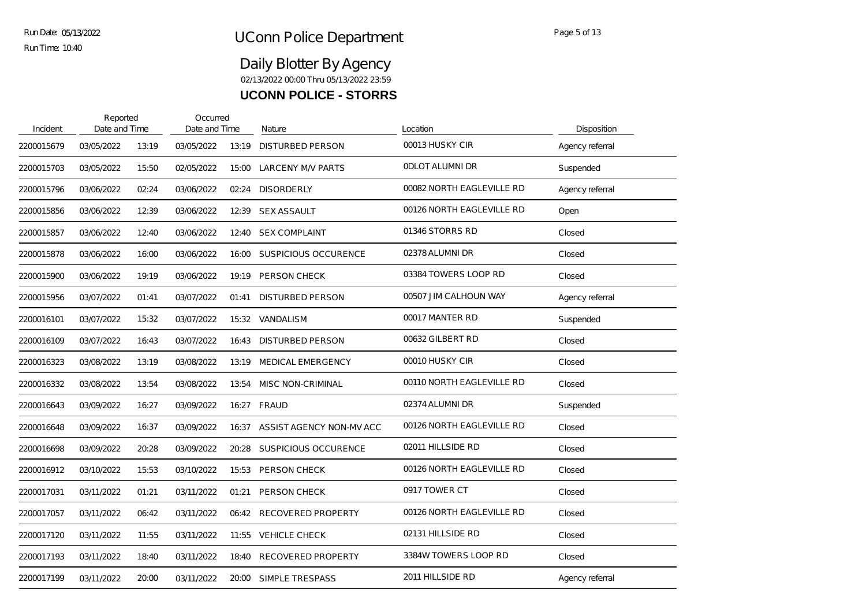| Incident   | Reported<br>Date and Time |       | Occurred<br>Date and Time |       | Nature                      | Location                  | Disposition     |
|------------|---------------------------|-------|---------------------------|-------|-----------------------------|---------------------------|-----------------|
| 2200015679 | 03/05/2022                | 13:19 | 03/05/2022                | 13:19 | <b>DISTURBED PERSON</b>     | 00013 HUSKY CIR           | Agency referral |
| 2200015703 | 03/05/2022                | 15:50 | 02/05/2022                | 15:00 | <b>LARCENY M/V PARTS</b>    | <b>ODLOT ALUMNI DR</b>    | Suspended       |
| 2200015796 | 03/06/2022                | 02:24 | 03/06/2022                | 02:24 | <b>DISORDERLY</b>           | 00082 NORTH EAGLEVILLE RD | Agency referral |
| 2200015856 | 03/06/2022                | 12:39 | 03/06/2022                | 12:39 | <b>SEX ASSAULT</b>          | 00126 NORTH EAGLEVILLE RD | Open            |
| 2200015857 | 03/06/2022                | 12:40 | 03/06/2022                | 12:40 | <b>SEX COMPLAINT</b>        | 01346 STORRS RD           | Closed          |
| 2200015878 | 03/06/2022                | 16:00 | 03/06/2022                | 16:00 | SUSPICIOUS OCCURENCE        | 02378 ALUMNI DR           | Closed          |
| 2200015900 | 03/06/2022                | 19:19 | 03/06/2022                | 19:19 | PERSON CHECK                | 03384 TOWERS LOOP RD      | Closed          |
| 2200015956 | 03/07/2022                | 01:41 | 03/07/2022                | 01:41 | <b>DISTURBED PERSON</b>     | 00507 JIM CALHOUN WAY     | Agency referral |
| 2200016101 | 03/07/2022                | 15:32 | 03/07/2022                | 15:32 | <b>VANDALISM</b>            | 00017 MANTER RD           | Suspended       |
| 2200016109 | 03/07/2022                | 16:43 | 03/07/2022                | 16:43 | <b>DISTURBED PERSON</b>     | 00632 GILBERT RD          | Closed          |
| 2200016323 | 03/08/2022                | 13:19 | 03/08/2022                | 13:19 | <b>MEDICAL EMERGENCY</b>    | 00010 HUSKY CIR           | Closed          |
| 2200016332 | 03/08/2022                | 13:54 | 03/08/2022                | 13:54 | <b>MISC NON-CRIMINAL</b>    | 00110 NORTH EAGLEVILLE RD | Closed          |
| 2200016643 | 03/09/2022                | 16:27 | 03/09/2022                |       | 16:27 FRAUD                 | 02374 ALUMNI DR           | Suspended       |
| 2200016648 | 03/09/2022                | 16:37 | 03/09/2022                | 16:37 | ASSIST AGENCY NON-MV ACC    | 00126 NORTH EAGLEVILLE RD | Closed          |
| 2200016698 | 03/09/2022                | 20:28 | 03/09/2022                | 20:28 | <b>SUSPICIOUS OCCURENCE</b> | 02011 HILLSIDE RD         | Closed          |
| 2200016912 | 03/10/2022                | 15:53 | 03/10/2022                | 15:53 | PERSON CHECK                | 00126 NORTH EAGLEVILLE RD | Closed          |
| 2200017031 | 03/11/2022                | 01:21 | 03/11/2022                | 01:21 | PERSON CHECK                | 0917 TOWER CT             | Closed          |
| 2200017057 | 03/11/2022                | 06:42 | 03/11/2022                |       | 06:42 RECOVERED PROPERTY    | 00126 NORTH EAGLEVILLE RD | Closed          |
| 2200017120 | 03/11/2022                | 11:55 | 03/11/2022                | 11:55 | <b>VEHICLE CHECK</b>        | 02131 HILLSIDE RD         | Closed          |
| 2200017193 | 03/11/2022                | 18:40 | 03/11/2022                | 18:40 | <b>RECOVERED PROPERTY</b>   | 3384W TOWERS LOOP RD      | Closed          |
| 2200017199 | 03/11/2022                | 20:00 | 03/11/2022                | 20:00 | SIMPLE TRESPASS             | 2011 HILLSIDE RD          | Agency referral |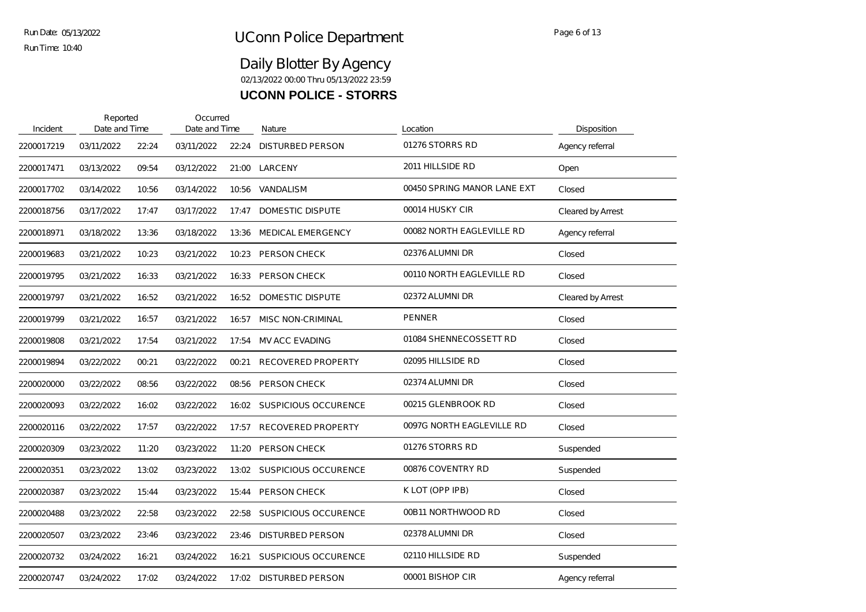| Incident   | Reported<br>Date and Time |       | Occurred<br>Date and Time |       | Nature                      | Location                    | Disposition       |
|------------|---------------------------|-------|---------------------------|-------|-----------------------------|-----------------------------|-------------------|
| 2200017219 | 03/11/2022                | 22:24 | 03/11/2022                | 22:24 | <b>DISTURBED PERSON</b>     | 01276 STORRS RD             | Agency referral   |
| 2200017471 | 03/13/2022                | 09:54 | 03/12/2022                | 21:00 | LARCENY                     | 2011 HILLSIDE RD            | Open              |
| 2200017702 | 03/14/2022                | 10:56 | 03/14/2022                | 10:56 | VANDALISM                   | 00450 SPRING MANOR LANE EXT | Closed            |
| 2200018756 | 03/17/2022                | 17:47 | 03/17/2022                | 17:47 | DOMESTIC DISPUTE            | 00014 HUSKY CIR             | Cleared by Arrest |
| 2200018971 | 03/18/2022                | 13:36 | 03/18/2022                | 13:36 | <b>MEDICAL EMERGENCY</b>    | 00082 NORTH EAGLEVILLE RD   | Agency referral   |
| 2200019683 | 03/21/2022                | 10:23 | 03/21/2022                | 10:23 | <b>PERSON CHECK</b>         | 02376 ALUMNI DR             | Closed            |
| 2200019795 | 03/21/2022                | 16:33 | 03/21/2022                | 16:33 | PERSON CHECK                | 00110 NORTH EAGLEVILLE RD   | Closed            |
| 2200019797 | 03/21/2022                | 16:52 | 03/21/2022                | 16:52 | DOMESTIC DISPUTE            | 02372 ALUMNI DR             | Cleared by Arrest |
| 2200019799 | 03/21/2022                | 16:57 | 03/21/2022                | 16:57 | <b>MISC NON-CRIMINAL</b>    | <b>PENNER</b>               | Closed            |
| 2200019808 | 03/21/2022                | 17:54 | 03/21/2022                | 17:54 | <b>MV ACC EVADING</b>       | 01084 SHENNECOSSETT RD      | Closed            |
| 2200019894 | 03/22/2022                | 00:21 | 03/22/2022                | 00:21 | <b>RECOVERED PROPERTY</b>   | 02095 HILLSIDE RD           | Closed            |
| 2200020000 | 03/22/2022                | 08:56 | 03/22/2022                | 08:56 | PERSON CHECK                | 02374 ALUMNI DR             | Closed            |
| 2200020093 | 03/22/2022                | 16:02 | 03/22/2022                | 16:02 | SUSPICIOUS OCCURENCE        | 00215 GLENBROOK RD          | Closed            |
| 2200020116 | 03/22/2022                | 17:57 | 03/22/2022                | 17:57 | <b>RECOVERED PROPERTY</b>   | 0097G NORTH EAGLEVILLE RD   | Closed            |
| 2200020309 | 03/23/2022                | 11:20 | 03/23/2022                | 11:20 | <b>PERSON CHECK</b>         | 01276 STORRS RD             | Suspended         |
| 2200020351 | 03/23/2022                | 13:02 | 03/23/2022                | 13:02 | SUSPICIOUS OCCURENCE        | 00876 COVENTRY RD           | Suspended         |
| 2200020387 | 03/23/2022                | 15:44 | 03/23/2022                | 15:44 | PERSON CHECK                | K LOT (OPP IPB)             | Closed            |
| 2200020488 | 03/23/2022                | 22:58 | 03/23/2022                | 22:58 | <b>SUSPICIOUS OCCURENCE</b> | 00B11 NORTHWOOD RD          | Closed            |
| 2200020507 | 03/23/2022                | 23:46 | 03/23/2022                | 23:46 | <b>DISTURBED PERSON</b>     | 02378 ALUMNI DR             | Closed            |
| 2200020732 | 03/24/2022                | 16:21 | 03/24/2022                | 16:21 | <b>SUSPICIOUS OCCURENCE</b> | 02110 HILLSIDE RD           | Suspended         |
| 2200020747 | 03/24/2022                | 17:02 | 03/24/2022                | 17:02 | DISTURBED PERSON            | 00001 BISHOP CIR            | Agency referral   |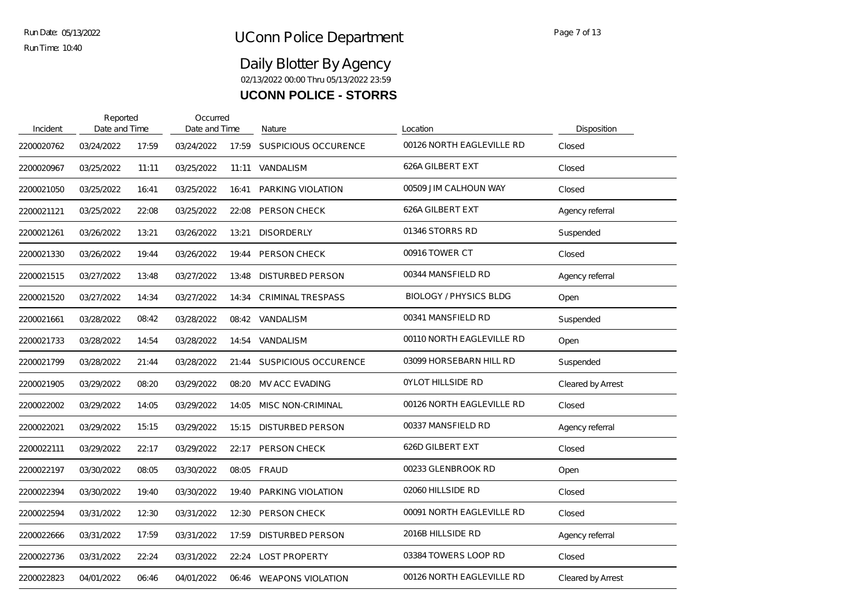# UConn Police Department Run Date: Regell of 13

Run Time: 10:40

| Incident   | Reported<br>Date and Time |       | Occurred<br>Date and Time |       | Nature                      | Location                      | Disposition              |
|------------|---------------------------|-------|---------------------------|-------|-----------------------------|-------------------------------|--------------------------|
| 2200020762 | 03/24/2022                | 17:59 | 03/24/2022                | 17:59 | <b>SUSPICIOUS OCCURENCE</b> | 00126 NORTH EAGLEVILLE RD     | Closed                   |
| 2200020967 | 03/25/2022                | 11:11 | 03/25/2022                |       | 11:11 VANDALISM             | 626A GILBERT EXT              | Closed                   |
| 2200021050 | 03/25/2022                | 16:41 | 03/25/2022                | 16:41 | PARKING VIOLATION           | 00509 JIM CALHOUN WAY         | Closed                   |
| 2200021121 | 03/25/2022                | 22:08 | 03/25/2022                | 22:08 | PERSON CHECK                | 626A GILBERT EXT              | Agency referral          |
| 2200021261 | 03/26/2022                | 13:21 | 03/26/2022                | 13:21 | <b>DISORDERLY</b>           | 01346 STORRS RD               | Suspended                |
| 2200021330 | 03/26/2022                | 19:44 | 03/26/2022                | 19:44 | PERSON CHECK                | 00916 TOWER CT                | Closed                   |
| 2200021515 | 03/27/2022                | 13:48 | 03/27/2022                | 13:48 | <b>DISTURBED PERSON</b>     | 00344 MANSFIELD RD            | Agency referral          |
| 2200021520 | 03/27/2022                | 14:34 | 03/27/2022                | 14:34 | <b>CRIMINAL TRESPASS</b>    | <b>BIOLOGY / PHYSICS BLDG</b> | Open                     |
| 2200021661 | 03/28/2022                | 08:42 | 03/28/2022                | 08:42 | VANDALISM                   | 00341 MANSFIELD RD            | Suspended                |
| 2200021733 | 03/28/2022                | 14:54 | 03/28/2022                | 14:54 | <b>VANDALISM</b>            | 00110 NORTH EAGLEVILLE RD     | Open                     |
| 2200021799 | 03/28/2022                | 21:44 | 03/28/2022                |       | 21:44 SUSPICIOUS OCCURENCE  | 03099 HORSEBARN HILL RD       | Suspended                |
| 2200021905 | 03/29/2022                | 08:20 | 03/29/2022                | 08:20 | <b>MV ACC EVADING</b>       | <b>OYLOT HILLSIDE RD</b>      | <b>Cleared by Arrest</b> |
| 2200022002 | 03/29/2022                | 14:05 | 03/29/2022                | 14:05 | <b>MISC NON-CRIMINAL</b>    | 00126 NORTH EAGLEVILLE RD     | Closed                   |
| 2200022021 | 03/29/2022                | 15:15 | 03/29/2022                | 15:15 | <b>DISTURBED PERSON</b>     | 00337 MANSFIELD RD            | Agency referral          |
| 2200022111 | 03/29/2022                | 22:17 | 03/29/2022                | 22:17 | PERSON CHECK                | 626D GILBERT EXT              | Closed                   |
| 2200022197 | 03/30/2022                | 08:05 | 03/30/2022                | 08:05 | <b>FRAUD</b>                | 00233 GLENBROOK RD            | Open                     |
| 2200022394 | 03/30/2022                | 19:40 | 03/30/2022                | 19:40 | PARKING VIOLATION           | 02060 HILLSIDE RD             | Closed                   |
| 2200022594 | 03/31/2022                | 12:30 | 03/31/2022                | 12:30 | <b>PERSON CHECK</b>         | 00091 NORTH EAGLEVILLE RD     | Closed                   |
| 2200022666 | 03/31/2022                | 17:59 | 03/31/2022                | 17:59 | <b>DISTURBED PERSON</b>     | 2016B HILLSIDE RD             | Agency referral          |
| 2200022736 | 03/31/2022                | 22:24 | 03/31/2022                | 22:24 | <b>LOST PROPERTY</b>        | 03384 TOWERS LOOP RD          | Closed                   |
| 2200022823 | 04/01/2022                | 06:46 | 04/01/2022                | 06:46 | <b>WEAPONS VIOLATION</b>    | 00126 NORTH EAGLEVILLE RD     | Cleared by Arrest        |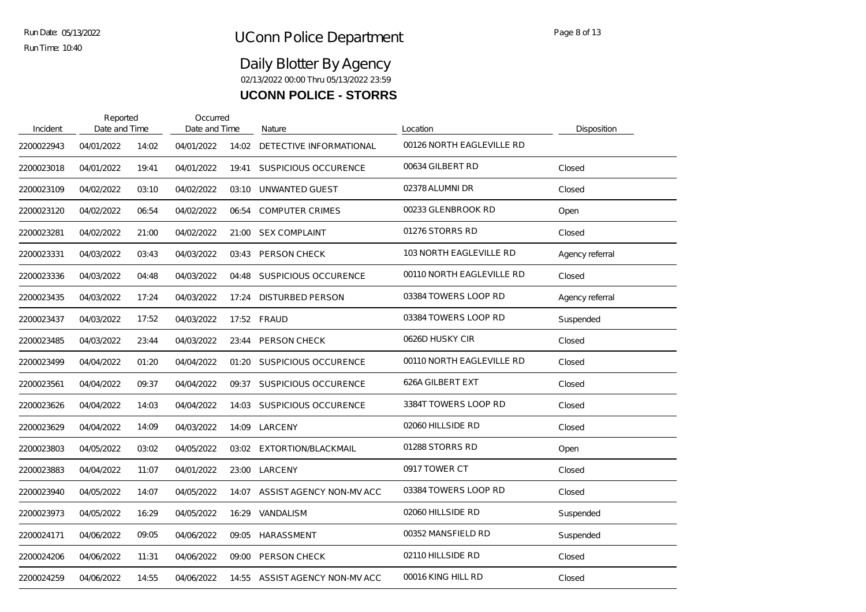# UConn Police Department Run Date: Rege 8 of 13

Run Time: 10:40

| Incident   | Reported<br>Date and Time |       | Occurred<br>Date and Time |       | Nature                      | Location                  | Disposition     |
|------------|---------------------------|-------|---------------------------|-------|-----------------------------|---------------------------|-----------------|
| 2200022943 | 04/01/2022                | 14:02 | 04/01/2022                | 14:02 | DETECTIVE INFORMATIONAL     | 00126 NORTH EAGLEVILLE RD |                 |
| 2200023018 | 04/01/2022                | 19:41 | 04/01/2022                | 19:41 | <b>SUSPICIOUS OCCURENCE</b> | 00634 GILBERT RD          | Closed          |
| 2200023109 | 04/02/2022                | 03:10 | 04/02/2022                | 03:10 | UNWANTED GUEST              | 02378 ALUMNI DR           | Closed          |
| 2200023120 | 04/02/2022                | 06:54 | 04/02/2022                | 06:54 | <b>COMPUTER CRIMES</b>      | 00233 GLENBROOK RD        | Open            |
| 2200023281 | 04/02/2022                | 21:00 | 04/02/2022                | 21:00 | <b>SEX COMPLAINT</b>        | 01276 STORRS RD           | Closed          |
| 2200023331 | 04/03/2022                | 03:43 | 04/03/2022                | 03:43 | <b>PERSON CHECK</b>         | 103 NORTH EAGLEVILLE RD   | Agency referral |
| 2200023336 | 04/03/2022                | 04:48 | 04/03/2022                | 04:48 | SUSPICIOUS OCCURENCE        | 00110 NORTH EAGLEVILLE RD | Closed          |
| 2200023435 | 04/03/2022                | 17:24 | 04/03/2022                | 17:24 | DISTURBED PERSON            | 03384 TOWERS LOOP RD      | Agency referral |
| 2200023437 | 04/03/2022                | 17:52 | 04/03/2022                |       | 17:52 FRAUD                 | 03384 TOWERS LOOP RD      | Suspended       |
| 2200023485 | 04/03/2022                | 23:44 | 04/03/2022                | 23:44 | <b>PERSON CHECK</b>         | 0626D HUSKY CIR           | Closed          |
| 2200023499 | 04/04/2022                | 01:20 | 04/04/2022                | 01:20 | SUSPICIOUS OCCURENCE        | 00110 NORTH EAGLEVILLE RD | Closed          |
| 2200023561 | 04/04/2022                | 09:37 | 04/04/2022                | 09:37 | SUSPICIOUS OCCURENCE        | 626A GILBERT EXT          | Closed          |
| 2200023626 | 04/04/2022                | 14:03 | 04/04/2022                | 14:03 | <b>SUSPICIOUS OCCURENCE</b> | 3384T TOWERS LOOP RD      | Closed          |
| 2200023629 | 04/04/2022                | 14:09 | 04/03/2022                | 14:09 | LARCENY                     | 02060 HILLSIDE RD         | Closed          |
| 2200023803 | 04/05/2022                | 03:02 | 04/05/2022                |       | 03:02 EXTORTION/BLACKMAIL   | 01288 STORRS RD           | Open            |
| 2200023883 | 04/04/2022                | 11:07 | 04/01/2022                | 23:00 | LARCENY                     | 0917 TOWER CT             | Closed          |
| 2200023940 | 04/05/2022                | 14:07 | 04/05/2022                | 14:07 | ASSIST AGENCY NON-MV ACC    | 03384 TOWERS LOOP RD      | Closed          |
| 2200023973 | 04/05/2022                | 16:29 | 04/05/2022                | 16:29 | <b>VANDALISM</b>            | 02060 HILLSIDE RD         | Suspended       |
| 2200024171 | 04/06/2022                | 09:05 | 04/06/2022                | 09:05 | HARASSMENT                  | 00352 MANSFIELD RD        | Suspended       |
| 2200024206 | 04/06/2022                | 11:31 | 04/06/2022                | 09:00 | <b>PERSON CHECK</b>         | 02110 HILLSIDE RD         | Closed          |
| 2200024259 | 04/06/2022                | 14:55 | 04/06/2022                | 14:55 | ASSIST AGENCY NON-MV ACC    | 00016 KING HILL RD        | Closed          |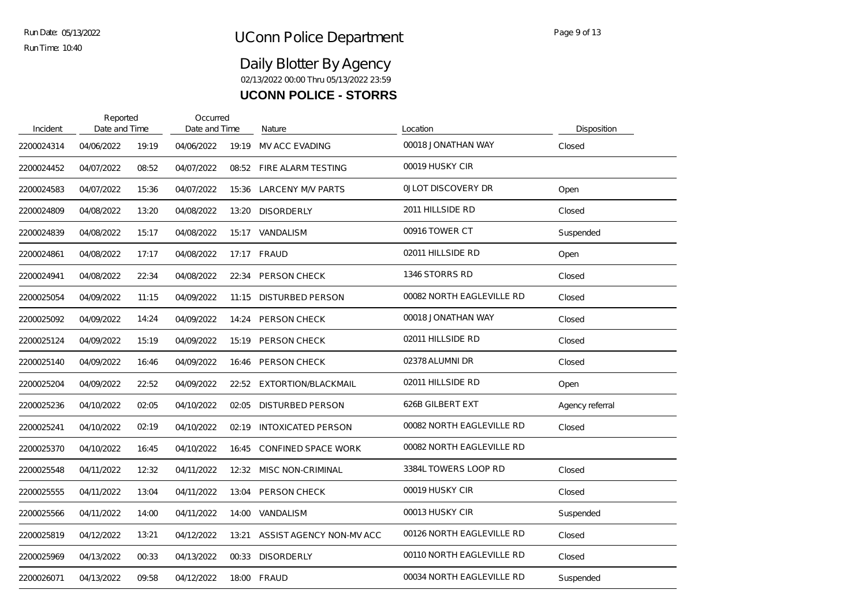| Incident   | Reported<br>Date and Time |       | Occurred<br>Date and Time |       | Nature                     | Location                  | Disposition     |
|------------|---------------------------|-------|---------------------------|-------|----------------------------|---------------------------|-----------------|
| 2200024314 | 04/06/2022                | 19:19 | 04/06/2022                | 19:19 | <b>MV ACC EVADING</b>      | 00018 JONATHAN WAY        | Closed          |
| 2200024452 | 04/07/2022                | 08:52 | 04/07/2022                | 08:52 | FIRE ALARM TESTING         | 00019 HUSKY CIR           |                 |
| 2200024583 | 04/07/2022                | 15:36 | 04/07/2022                | 15:36 | <b>LARCENY M/V PARTS</b>   | <b>OJLOT DISCOVERY DR</b> | Open            |
| 2200024809 | 04/08/2022                | 13:20 | 04/08/2022                | 13:20 | <b>DISORDERLY</b>          | 2011 HILLSIDE RD          | Closed          |
| 2200024839 | 04/08/2022                | 15:17 | 04/08/2022                | 15:17 | VANDALISM                  | 00916 TOWER CT            | Suspended       |
| 2200024861 | 04/08/2022                | 17:17 | 04/08/2022                |       | 17:17 FRAUD                | 02011 HILLSIDE RD         | Open            |
| 2200024941 | 04/08/2022                | 22:34 | 04/08/2022                | 22:34 | <b>PERSON CHECK</b>        | 1346 STORRS RD            | Closed          |
| 2200025054 | 04/09/2022                | 11:15 | 04/09/2022                | 11:15 | <b>DISTURBED PERSON</b>    | 00082 NORTH EAGLEVILLE RD | Closed          |
| 2200025092 | 04/09/2022                | 14:24 | 04/09/2022                | 14:24 | PERSON CHECK               | 00018 JONATHAN WAY        | Closed          |
| 2200025124 | 04/09/2022                | 15:19 | 04/09/2022                | 15:19 | PERSON CHECK               | 02011 HILLSIDE RD         | Closed          |
| 2200025140 | 04/09/2022                | 16:46 | 04/09/2022                | 16:46 | <b>PERSON CHECK</b>        | 02378 ALUMNI DR           | Closed          |
| 2200025204 | 04/09/2022                | 22:52 | 04/09/2022                | 22:52 | EXTORTION/BLACKMAIL        | 02011 HILLSIDE RD         | Open            |
| 2200025236 | 04/10/2022                | 02:05 | 04/10/2022                | 02:05 | <b>DISTURBED PERSON</b>    | 626B GILBERT EXT          | Agency referral |
| 2200025241 | 04/10/2022                | 02:19 | 04/10/2022                | 02:19 | <b>INTOXICATED PERSON</b>  | 00082 NORTH EAGLEVILLE RD | Closed          |
| 2200025370 | 04/10/2022                | 16:45 | 04/10/2022                | 16:45 | <b>CONFINED SPACE WORK</b> | 00082 NORTH EAGLEVILLE RD |                 |
| 2200025548 | 04/11/2022                | 12:32 | 04/11/2022                | 12:32 | <b>MISC NON-CRIMINAL</b>   | 3384L TOWERS LOOP RD      | Closed          |
| 2200025555 | 04/11/2022                | 13:04 | 04/11/2022                | 13:04 | PERSON CHECK               | 00019 HUSKY CIR           | Closed          |
| 2200025566 | 04/11/2022                | 14:00 | 04/11/2022                |       | 14:00 VANDALISM            | 00013 HUSKY CIR           | Suspended       |
| 2200025819 | 04/12/2022                | 13:21 | 04/12/2022                | 13:21 | ASSIST AGENCY NON-MV ACC   | 00126 NORTH EAGLEVILLE RD | Closed          |
| 2200025969 | 04/13/2022                | 00:33 | 04/13/2022                | 00:33 | <b>DISORDERLY</b>          | 00110 NORTH EAGLEVILLE RD | Closed          |
| 2200026071 | 04/13/2022                | 09:58 | 04/12/2022                |       | 18:00 FRAUD                | 00034 NORTH EAGLEVILLE RD | Suspended       |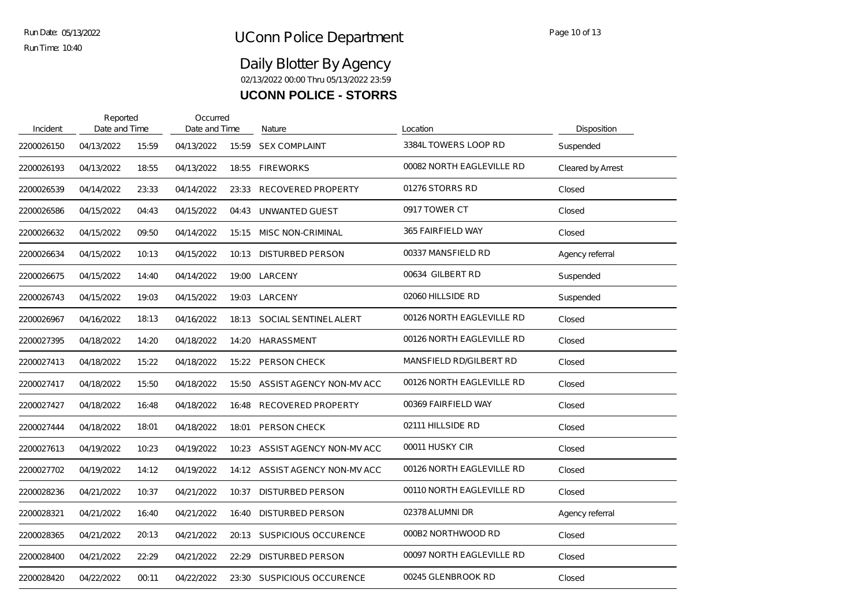| Incident   | Reported<br>Date and Time |       | Occurred<br>Date and Time |       | Nature                         | Location                  | Disposition       |
|------------|---------------------------|-------|---------------------------|-------|--------------------------------|---------------------------|-------------------|
| 2200026150 | 04/13/2022                | 15:59 | 04/13/2022                | 15:59 | <b>SEX COMPLAINT</b>           | 3384L TOWERS LOOP RD      | Suspended         |
| 2200026193 | 04/13/2022                | 18:55 | 04/13/2022                | 18:55 | <b>FIREWORKS</b>               | 00082 NORTH EAGLEVILLE RD | Cleared by Arrest |
| 2200026539 | 04/14/2022                | 23:33 | 04/14/2022                | 23:33 | <b>RECOVERED PROPERTY</b>      | 01276 STORRS RD           | Closed            |
| 2200026586 | 04/15/2022                | 04:43 | 04/15/2022                | 04:43 | UNWANTED GUEST                 | 0917 TOWER CT             | Closed            |
| 2200026632 | 04/15/2022                | 09:50 | 04/14/2022                | 15:15 | <b>MISC NON-CRIMINAL</b>       | 365 FAIRFIELD WAY         | Closed            |
| 2200026634 | 04/15/2022                | 10:13 | 04/15/2022                | 10:13 | <b>DISTURBED PERSON</b>        | 00337 MANSFIELD RD        | Agency referral   |
| 2200026675 | 04/15/2022                | 14:40 | 04/14/2022                | 19:00 | LARCENY                        | 00634 GILBERT RD          | Suspended         |
| 2200026743 | 04/15/2022                | 19:03 | 04/15/2022                | 19:03 | LARCENY                        | 02060 HILLSIDE RD         | Suspended         |
| 2200026967 | 04/16/2022                | 18:13 | 04/16/2022                | 18:13 | SOCIAL SENTINEL ALERT          | 00126 NORTH EAGLEVILLE RD | Closed            |
| 2200027395 | 04/18/2022                | 14:20 | 04/18/2022                | 14:20 | HARASSMENT                     | 00126 NORTH EAGLEVILLE RD | Closed            |
| 2200027413 | 04/18/2022                | 15:22 | 04/18/2022                | 15:22 | PERSON CHECK                   | MANSFIELD RD/GILBERT RD   | Closed            |
| 2200027417 | 04/18/2022                | 15:50 | 04/18/2022                | 15:50 | ASSIST AGENCY NON-MV ACC       | 00126 NORTH EAGLEVILLE RD | Closed            |
| 2200027427 | 04/18/2022                | 16:48 | 04/18/2022                | 16:48 | RECOVERED PROPERTY             | 00369 FAIRFIELD WAY       | Closed            |
| 2200027444 | 04/18/2022                | 18:01 | 04/18/2022                | 18:01 | PERSON CHECK                   | 02111 HILLSIDE RD         | Closed            |
| 2200027613 | 04/19/2022                | 10:23 | 04/19/2022                | 10:23 | ASSIST AGENCY NON-MV ACC       | 00011 HUSKY CIR           | Closed            |
| 2200027702 | 04/19/2022                | 14:12 | 04/19/2022                |       | 14:12 ASSIST AGENCY NON-MV ACC | 00126 NORTH EAGLEVILLE RD | Closed            |
| 2200028236 | 04/21/2022                | 10:37 | 04/21/2022                | 10:37 | <b>DISTURBED PERSON</b>        | 00110 NORTH EAGLEVILLE RD | Closed            |
| 2200028321 | 04/21/2022                | 16:40 | 04/21/2022                | 16:40 | <b>DISTURBED PERSON</b>        | 02378 ALUMNI DR           | Agency referral   |
| 2200028365 | 04/21/2022                | 20:13 | 04/21/2022                | 20:13 | SUSPICIOUS OCCURENCE           | 000B2 NORTHWOOD RD        | Closed            |
| 2200028400 | 04/21/2022                | 22:29 | 04/21/2022                | 22:29 | <b>DISTURBED PERSON</b>        | 00097 NORTH EAGLEVILLE RD | Closed            |
| 2200028420 | 04/22/2022                | 00:11 | 04/22/2022                | 23:30 | SUSPICIOUS OCCURENCE           | 00245 GLENBROOK RD        | Closed            |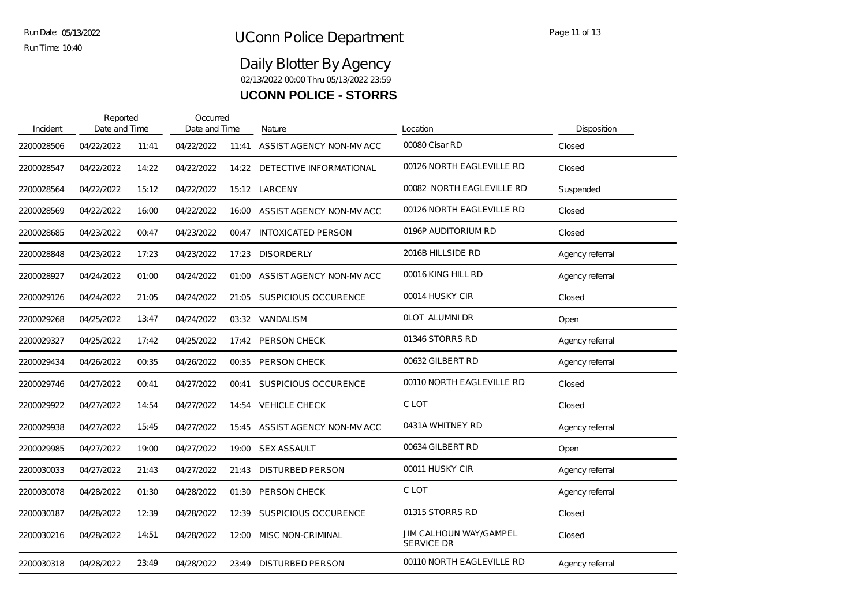| Incident   | Reported<br>Date and Time |       | Occurred<br>Date and Time |       | Nature                      | Location                                           | Disposition     |
|------------|---------------------------|-------|---------------------------|-------|-----------------------------|----------------------------------------------------|-----------------|
| 2200028506 | 04/22/2022                | 11:41 | 04/22/2022                | 11:41 | ASSIST AGENCY NON-MV ACC    | 00080 Cisar RD                                     | Closed          |
| 2200028547 | 04/22/2022                | 14:22 | 04/22/2022                | 14:22 | DETECTIVE INFORMATIONAL     | 00126 NORTH EAGLEVILLE RD                          | Closed          |
| 2200028564 | 04/22/2022                | 15:12 | 04/22/2022                |       | 15:12 LARCENY               | 00082 NORTH EAGLEVILLE RD                          | Suspended       |
| 2200028569 | 04/22/2022                | 16:00 | 04/22/2022                | 16:00 | ASSIST AGENCY NON-MV ACC    | 00126 NORTH EAGLEVILLE RD                          | Closed          |
| 2200028685 | 04/23/2022                | 00:47 | 04/23/2022                | 00:47 | <b>INTOXICATED PERSON</b>   | 0196P AUDITORIUM RD                                | Closed          |
| 2200028848 | 04/23/2022                | 17:23 | 04/23/2022                | 17:23 | <b>DISORDERLY</b>           | 2016B HILLSIDE RD                                  | Agency referral |
| 2200028927 | 04/24/2022                | 01:00 | 04/24/2022                | 01:00 | ASSIST AGENCY NON-MV ACC    | 00016 KING HILL RD                                 | Agency referral |
| 2200029126 | 04/24/2022                | 21:05 | 04/24/2022                | 21:05 | SUSPICIOUS OCCURENCE        | 00014 HUSKY CIR                                    | Closed          |
| 2200029268 | 04/25/2022                | 13:47 | 04/24/2022                | 03:32 | VANDALISM                   | OLOT ALUMNI DR                                     | Open            |
| 2200029327 | 04/25/2022                | 17:42 | 04/25/2022                | 17:42 | <b>PERSON CHECK</b>         | 01346 STORRS RD                                    | Agency referral |
| 2200029434 | 04/26/2022                | 00:35 | 04/26/2022                | 00:35 | PERSON CHECK                | 00632 GILBERT RD                                   | Agency referral |
| 2200029746 | 04/27/2022                | 00:41 | 04/27/2022                | 00:41 | <b>SUSPICIOUS OCCURENCE</b> | 00110 NORTH EAGLEVILLE RD                          | Closed          |
| 2200029922 | 04/27/2022                | 14:54 | 04/27/2022                | 14:54 | <b>VEHICLE CHECK</b>        | C LOT                                              | Closed          |
| 2200029938 | 04/27/2022                | 15:45 | 04/27/2022                | 15:45 | ASSIST AGENCY NON-MV ACC    | 0431A WHITNEY RD                                   | Agency referral |
| 2200029985 | 04/27/2022                | 19:00 | 04/27/2022                | 19:00 | <b>SEX ASSAULT</b>          | 00634 GILBERT RD                                   | Open            |
| 2200030033 | 04/27/2022                | 21:43 | 04/27/2022                | 21:43 | <b>DISTURBED PERSON</b>     | 00011 HUSKY CIR                                    | Agency referral |
| 2200030078 | 04/28/2022                | 01:30 | 04/28/2022                | 01:30 | PERSON CHECK                | C LOT                                              | Agency referral |
| 2200030187 | 04/28/2022                | 12:39 | 04/28/2022                | 12:39 | <b>SUSPICIOUS OCCURENCE</b> | 01315 STORRS RD                                    | Closed          |
| 2200030216 | 04/28/2022                | 14:51 | 04/28/2022                | 12:00 | <b>MISC NON-CRIMINAL</b>    | <b>JIM CALHOUN WAY/GAMPEL</b><br><b>SERVICE DR</b> | Closed          |
| 2200030318 | 04/28/2022                | 23:49 | 04/28/2022                | 23:49 | <b>DISTURBED PERSON</b>     | 00110 NORTH EAGLEVILLE RD                          | Agency referral |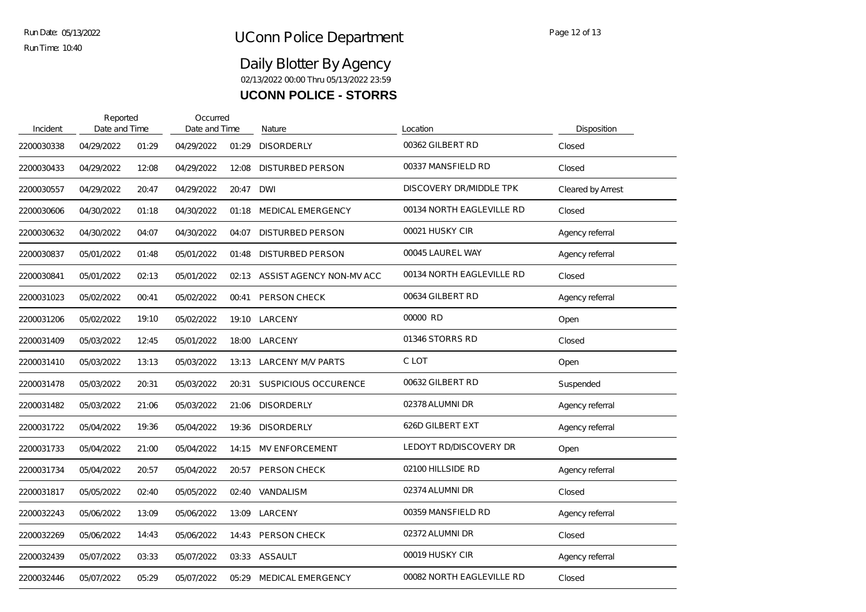| Incident   | Reported<br>Date and Time |       | Occurred<br>Date and Time |       | Nature                      | Location                  | Disposition       |
|------------|---------------------------|-------|---------------------------|-------|-----------------------------|---------------------------|-------------------|
| 2200030338 | 04/29/2022                | 01:29 | 04/29/2022                | 01:29 | <b>DISORDERLY</b>           | 00362 GILBERT RD          | Closed            |
| 2200030433 | 04/29/2022                | 12:08 | 04/29/2022                | 12:08 | <b>DISTURBED PERSON</b>     | 00337 MANSFIELD RD        | Closed            |
| 2200030557 | 04/29/2022                | 20:47 | 04/29/2022                | 20:47 | <b>DWI</b>                  | DISCOVERY DR/MIDDLE TPK   | Cleared by Arrest |
| 2200030606 | 04/30/2022                | 01:18 | 04/30/2022                | 01:18 | <b>MEDICAL EMERGENCY</b>    | 00134 NORTH EAGLEVILLE RD | Closed            |
| 2200030632 | 04/30/2022                | 04:07 | 04/30/2022                | 04:07 | <b>DISTURBED PERSON</b>     | 00021 HUSKY CIR           | Agency referral   |
| 2200030837 | 05/01/2022                | 01:48 | 05/01/2022                | 01:48 | <b>DISTURBED PERSON</b>     | 00045 LAUREL WAY          | Agency referral   |
| 2200030841 | 05/01/2022                | 02:13 | 05/01/2022                | 02:13 | ASSIST AGENCY NON-MV ACC    | 00134 NORTH EAGLEVILLE RD | Closed            |
| 2200031023 | 05/02/2022                | 00:41 | 05/02/2022                | 00:41 | <b>PERSON CHECK</b>         | 00634 GILBERT RD          | Agency referral   |
| 2200031206 | 05/02/2022                | 19:10 | 05/02/2022                | 19:10 | LARCENY                     | 00000 RD                  | Open              |
| 2200031409 | 05/03/2022                | 12:45 | 05/01/2022                | 18:00 | LARCENY                     | 01346 STORRS RD           | Closed            |
| 2200031410 | 05/03/2022                | 13:13 | 05/03/2022                |       | 13:13 LARCENY M/V PARTS     | C LOT                     | Open              |
| 2200031478 | 05/03/2022                | 20:31 | 05/03/2022                | 20:31 | <b>SUSPICIOUS OCCURENCE</b> | 00632 GILBERT RD          | Suspended         |
| 2200031482 | 05/03/2022                | 21:06 | 05/03/2022                | 21:06 | <b>DISORDERLY</b>           | 02378 ALUMNI DR           | Agency referral   |
| 2200031722 | 05/04/2022                | 19:36 | 05/04/2022                | 19:36 | <b>DISORDERLY</b>           | 626D GILBERT EXT          | Agency referral   |
| 2200031733 | 05/04/2022                | 21:00 | 05/04/2022                | 14:15 | <b>MV ENFORCEMENT</b>       | LEDOYT RD/DISCOVERY DR    | Open              |
| 2200031734 | 05/04/2022                | 20:57 | 05/04/2022                | 20:57 | PERSON CHECK                | 02100 HILLSIDE RD         | Agency referral   |
| 2200031817 | 05/05/2022                | 02:40 | 05/05/2022                | 02:40 | <b>VANDALISM</b>            | 02374 ALUMNI DR           | Closed            |
| 2200032243 | 05/06/2022                | 13:09 | 05/06/2022                | 13:09 | LARCENY                     | 00359 MANSFIELD RD        | Agency referral   |
| 2200032269 | 05/06/2022                | 14:43 | 05/06/2022                | 14:43 | <b>PERSON CHECK</b>         | 02372 ALUMNI DR           | Closed            |
| 2200032439 | 05/07/2022                | 03:33 | 05/07/2022                | 03:33 | ASSAULT                     | 00019 HUSKY CIR           | Agency referral   |
| 2200032446 | 05/07/2022                | 05:29 | 05/07/2022                | 05.29 | <b>MEDICAL EMERGENCY</b>    | 00082 NORTH EAGLEVILLE RD | Closed            |